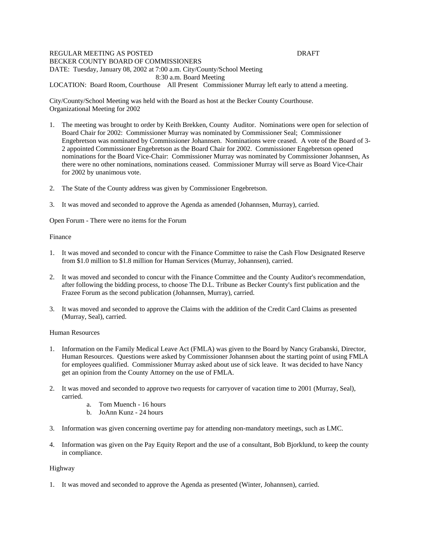#### REGULAR MEETING AS POSTED DRAFT BECKER COUNTY BOARD OF COMMISSIONERS DATE: Tuesday, January 08, 2002 at 7:00 a.m. City/County/School Meeting 8:30 a.m. Board Meeting

LOCATION: Board Room, Courthouse All Present Commissioner Murray left early to attend a meeting.

City/County/School Meeting was held with the Board as host at the Becker County Courthouse. Organizational Meeting for 2002

- 1. The meeting was brought to order by Keith Brekken, County Auditor. Nominations were open for selection of Board Chair for 2002: Commissioner Murray was nominated by Commissioner Seal; Commissioner Engebretson was nominated by Commissioner Johannsen. Nominations were ceased. A vote of the Board of 3- 2 appointed Commissioner Engebretson as the Board Chair for 2002. Commissioner Engebretson opened nominations for the Board Vice-Chair: Commissioner Murray was nominated by Commissioner Johannsen, As there were no other nominations, nominations ceased. Commissioner Murray will serve as Board Vice-Chair for 2002 by unanimous vote.
- 2. The State of the County address was given by Commissioner Engebretson.
- 3. It was moved and seconded to approve the Agenda as amended (Johannsen, Murray), carried.

Open Forum - There were no items for the Forum

#### Finance

- 1. It was moved and seconded to concur with the Finance Committee to raise the Cash Flow Designated Reserve from \$1.0 million to \$1.8 million for Human Services (Murray, Johannsen), carried.
- 2. It was moved and seconded to concur with the Finance Committee and the County Auditor's recommendation, after following the bidding process, to choose The D.L. Tribune as Becker County's first publication and the Frazee Forum as the second publication (Johannsen, Murray), carried.
- 3. It was moved and seconded to approve the Claims with the addition of the Credit Card Claims as presented (Murray, Seal), carried.

#### Human Resources

- 1. Information on the Family Medical Leave Act (FMLA) was given to the Board by Nancy Grabanski, Director, Human Resources. Questions were asked by Commissioner Johannsen about the starting point of using FMLA for employees qualified. Commissioner Murray asked about use of sick leave. It was decided to have Nancy get an opinion from the County Attorney on the use of FMLA.
- 2. It was moved and seconded to approve two requests for carryover of vacation time to 2001 (Murray, Seal), carried.
	- a. Tom Muench 16 hours
	- b. JoAnn Kunz 24 hours
- 3. Information was given concerning overtime pay for attending non-mandatory meetings, such as LMC.
- 4. Information was given on the Pay Equity Report and the use of a consultant, Bob Bjorklund, to keep the county in compliance.

#### Highway

1. It was moved and seconded to approve the Agenda as presented (Winter, Johannsen), carried.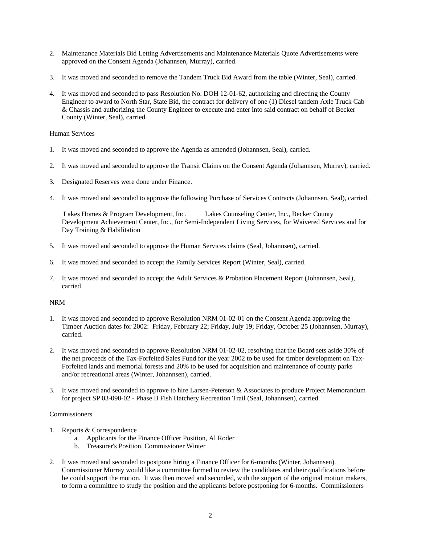- 2. Maintenance Materials Bid Letting Advertisements and Maintenance Materials Quote Advertisements were approved on the Consent Agenda (Johannsen, Murray), carried.
- 3. It was moved and seconded to remove the Tandem Truck Bid Award from the table (Winter, Seal), carried.
- 4. It was moved and seconded to pass Resolution No. DOH 12-01-62, authorizing and directing the County Engineer to award to North Star, State Bid, the contract for delivery of one (1) Diesel tandem Axle Truck Cab & Chassis and authorizing the County Engineer to execute and enter into said contract on behalf of Becker County (Winter, Seal), carried.

## Human Services

- 1. It was moved and seconded to approve the Agenda as amended (Johannsen, Seal), carried.
- 2. It was moved and seconded to approve the Transit Claims on the Consent Agenda (Johannsen, Murray), carried.
- 3. Designated Reserves were done under Finance.
- 4. It was moved and seconded to approve the following Purchase of Services Contracts (Johannsen, Seal), carried.

Lakes Homes & Program Development, Inc. Lakes Counseling Center, Inc., Becker County Development Achievement Center, Inc., for Semi-Independent Living Services, for Waivered Services and for Day Training & Habilitation

- 5. It was moved and seconded to approve the Human Services claims (Seal, Johannsen), carried.
- 6. It was moved and seconded to accept the Family Services Report (Winter, Seal), carried.
- 7. It was moved and seconded to accept the Adult Services & Probation Placement Report (Johannsen, Seal), carried.

# NRM

- 1. It was moved and seconded to approve Resolution NRM 01-02-01 on the Consent Agenda approving the Timber Auction dates for 2002: Friday, February 22; Friday, July 19; Friday, October 25 (Johannsen, Murray), carried.
- 2. It was moved and seconded to approve Resolution NRM 01-02-02, resolving that the Board sets aside 30% of the net proceeds of the Tax-Forfeited Sales Fund for the year 2002 to be used for timber development on Tax-Forfeited lands and memorial forests and 20% to be used for acquisition and maintenance of county parks and/or recreational areas (Winter, Johannsen), carried.
- 3. It was moved and seconded to approve to hire Larsen-Peterson & Associates to produce Project Memorandum for project SP 03-090-02 - Phase II Fish Hatchery Recreation Trail (Seal, Johannsen), carried.

## Commissioners

- 1. Reports & Correspondence
	- a. Applicants for the Finance Officer Position, Al Roder
	- b. Treasurer's Position, Commissioner Winter
- 2. It was moved and seconded to postpone hiring a Finance Officer for 6-months (Winter, Johannsen). Commissioner Murray would like a committee formed to review the candidates and their qualifications before he could support the motion. It was then moved and seconded, with the support of the original motion makers, to form a committee to study the position and the applicants before postponing for 6-months. Commissioners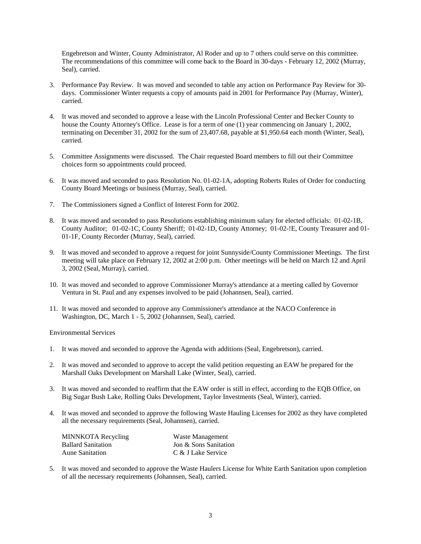Engebretson and Winter, County Administrator, Al Roder and up to 7 others could serve on this committee. The recommendations of this committee will come back to the Board in 30-days - February 12, 2002 (Murray, Seal), carried.

- 3. Performance Pay Review. It was moved and seconded to table any action on Performance Pay Review for 30 days. Commissioner Winter requests a copy of amounts paid in 2001 for Performance Pay (Murray, Winter), carried.
- 4. It was moved and seconded to approve a lease with the Lincoln Professional Center and Becker County to house the County Attorney's Office. Lease is for a term of one (1) year commencing on January 1, 2002, terminating on December 31, 2002 for the sum of 23,407.68, payable at \$1,950.64 each month (Winter, Seal), carried.
- 5. Committee Assignments were discussed. The Chair requested Board members to fill out their Committee choices form so appointments could proceed.
- 6. It was moved and seconded to pass Resolution No. 01-02-1A, adopting Roberts Rules of Order for conducting County Board Meetings or business (Murray, Seal), carried.
- 7. The Commissioners signed a Conflict of Interest Form for 2002.
- 8. It was moved and seconded to pass Resolutions establishing minimum salary for elected officials: 01-02-1B, County Auditor; 01-02-1C, County Sheriff; 01-02-1D, County Attorney; 01-02-!E, County Treasurer and 01- 01-1F, County Recorder (Murray, Seal), carried.
- 9. It was moved and seconded to approve a request for joint Sunnyside/County Commissioner Meetings. The first meeting will take place on February 12, 2002 at 2:00 p.m. Other meetings will be held on March 12 and April 3, 2002 (Seal, Murray), carried.
- 10. It was moved and seconded to approve Commissioner Murray's attendance at a meeting called by Governor Ventura in St. Paul and any expenses involved to be paid (Johannsen, Seal), carried.
- 11. It was moved and seconded to approve any Commissioner's attendance at the NACO Conference in Washington, DC, March 1 - 5, 2002 (Johannsen, Seal), carried.

Environmental Services

- 1. It was moved and seconded to approve the Agenda with additions (Seal, Engebretson), carried.
- 2. It was moved and seconded to approve to accept the valid petition requesting an EAW be prepared for the Marshall Oaks Development on Marshall Lake (Winter, Seal), carried.
- 3. It was moved and seconded to reaffirm that the EAW order is still in effect, according to the EQB Office, on Big Sugar Bush Lake, Rolling Oaks Development, Taylor Investments (Seal, Winter), carried.
- 4. It was moved and seconded to approve the following Waste Hauling Licenses for 2002 as they have completed all the necessary requirements (Seal, Johannsen), carried.

| <b>MINNKOTA</b> Recycling | Waste Management      |
|---------------------------|-----------------------|
| <b>Ballard Sanitation</b> | Jon & Sons Sanitation |
| <b>Aune Sanitation</b>    | C & J Lake Service    |

5. It was moved and seconded to approve the Waste Haulers License for White Earth Sanitation upon completion of all the necessary requirements (Johannsen, Seal), carried.